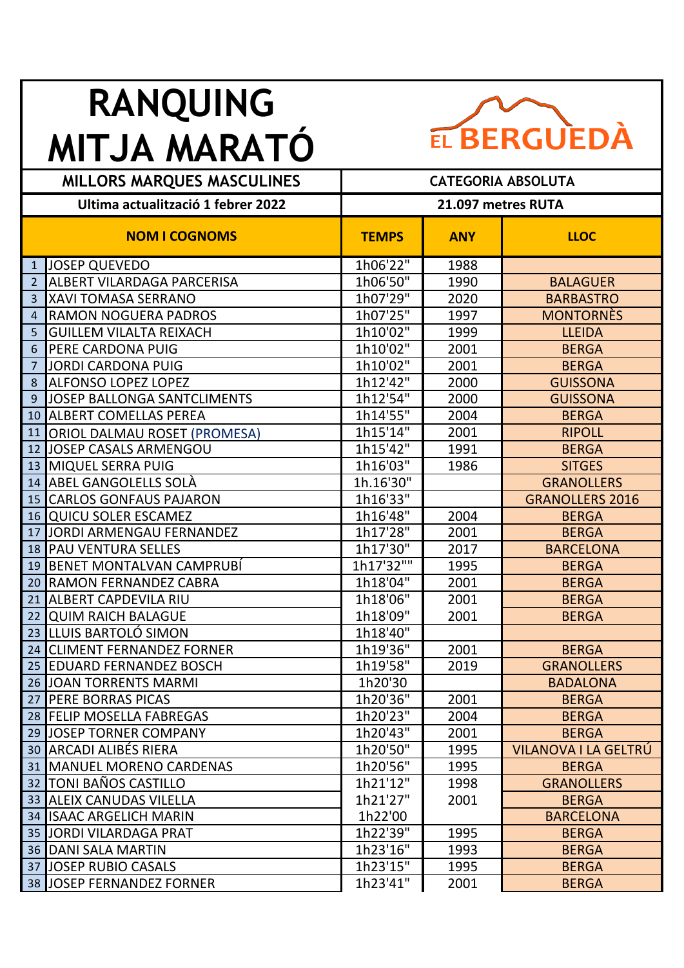## **RANQUING MITJA MARATÓ**



| <b>MILLORS MARQUES MASCULINES</b>  |                                     | <b>CATEGORIA ABSOLUTA</b> |            |                        |  |
|------------------------------------|-------------------------------------|---------------------------|------------|------------------------|--|
| Ultima actualització 1 febrer 2022 |                                     | 21.097 metres RUTA        |            |                        |  |
|                                    | <b>NOM I COGNOMS</b>                | <b>TEMPS</b>              | <b>ANY</b> | <b>LLOC</b>            |  |
| $\mathbf{1}$                       | <b>JOSEP QUEVEDO</b>                | 1h06'22"                  | 1988       |                        |  |
| 2                                  | ALBERT VILARDAGA PARCERISA          | 1h06'50"                  | 1990       | <b>BALAGUER</b>        |  |
| 3                                  | <b>XAVI TOMASA SERRANO</b>          | 1h07'29"                  | 2020       | <b>BARBASTRO</b>       |  |
| $\overline{4}$                     | <b>RAMON NOGUERA PADROS</b>         | 1h07'25''                 | 1997       | <b>MONTORNÈS</b>       |  |
| 5                                  | <b>GUILLEM VILALTA REIXACH</b>      | 1h10'02"                  | 1999       | <b>LLEIDA</b>          |  |
| 6                                  | PERE CARDONA PUIG                   | 1h10'02"                  | 2001       | <b>BERGA</b>           |  |
| 7                                  | <b>JORDI CARDONA PUIG</b>           | 1h10'02"                  | 2001       | <b>BERGA</b>           |  |
| 8                                  | <b>ALFONSO LOPEZ LOPEZ</b>          | 1h12'42"                  | 2000       | <b>GUISSONA</b>        |  |
| 9                                  | JOSEP BALLONGA SANTCLIMENTS         | 1h12'54"                  | 2000       | <b>GUISSONA</b>        |  |
| 10                                 | <b>ALBERT COMELLAS PEREA</b>        | 1h14'55"                  | 2004       | <b>BERGA</b>           |  |
| 11                                 | <b>ORIOL DALMAU ROSET (PROMESA)</b> | 1h15'14"                  | 2001       | <b>RIPOLL</b>          |  |
| 12                                 | JOSEP CASALS ARMENGOU               | 1h15'42"                  | 1991       | <b>BERGA</b>           |  |
| 13                                 | <b>MIQUEL SERRA PUIG</b>            | 1h16'03"                  | 1986       | <b>SITGES</b>          |  |
| 14                                 | <b>ABEL GANGOLELLS SOLA</b>         | 1h.16'30"                 |            | <b>GRANOLLERS</b>      |  |
| 15                                 | <b>CARLOS GONFAUS PAJARON</b>       | 1h16'33"                  |            | <b>GRANOLLERS 2016</b> |  |
| 16                                 | <b>QUICU SOLER ESCAMEZ</b>          | 1h16'48"                  | 2004       | <b>BERGA</b>           |  |
| 17                                 | JORDI ARMENGAU FERNANDEZ            | 1h17'28"                  | 2001       | <b>BERGA</b>           |  |
| 18                                 | <b>PAU VENTURA SELLES</b>           | 1h17'30"                  | 2017       | <b>BARCELONA</b>       |  |
| 19                                 | <b>BENET MONTALVAN CAMPRUBÍ</b>     | 1h17'32""                 | 1995       | <b>BERGA</b>           |  |
| 20                                 | <b>RAMON FERNANDEZ CABRA</b>        | 1h18'04"                  | 2001       | <b>BERGA</b>           |  |
| 21                                 | <b>ALBERT CAPDEVILA RIU</b>         | 1h18'06"                  | 2001       | <b>BERGA</b>           |  |
| 22                                 | <b>QUIM RAICH BALAGUE</b>           | 1h18'09"                  | 2001       | <b>BERGA</b>           |  |
| 23                                 | LLUIS BARTOLÓ SIMON                 | 1h18'40"                  |            |                        |  |
| 24                                 | <b>CLIMENT FERNANDEZ FORNER</b>     | 1h19'36"                  | 2001       | <b>BERGA</b>           |  |
| 25                                 | <b>EDUARD FERNANDEZ BOSCH</b>       | 1h19'58"                  | 2019       | <b>GRANOLLERS</b>      |  |
|                                    | 26 JOAN TORRENTS MARMI              | 1h20'30                   |            | <b>BADALONA</b>        |  |
| 27                                 | <b>PERE BORRAS PICAS</b>            | 1h20'36"                  | 2001       | <b>BERGA</b>           |  |
|                                    | 28 FELIP MOSELLA FABREGAS           | 1h20'23"                  | 2004       | <b>BERGA</b>           |  |
|                                    | 29 JOSEP TORNER COMPANY             | 1h20'43"                  | 2001       | <b>BERGA</b>           |  |
| 30 <sub>1</sub>                    | <b>ARCADI ALIBÉS RIERA</b>          | 1h20'50"                  | 1995       | VILANOVA I LA GELTRÚ   |  |
|                                    | 31 MANUEL MORENO CARDENAS           | 1h20'56"                  | 1995       | <b>BERGA</b>           |  |
| 32 <sup>2</sup>                    | TONI BAÑOS CASTILLO                 | 1h21'12"                  | 1998       | <b>GRANOLLERS</b>      |  |
| 33                                 | <b>ALEIX CANUDAS VILELLA</b>        | 1h21'27"                  | 2001       | <b>BERGA</b>           |  |
| 34                                 | <b>ISAAC ARGELICH MARIN</b>         | 1h22'00                   |            | <b>BARCELONA</b>       |  |
| 35                                 | JORDI VILARDAGA PRAT                | 1h22'39"                  | 1995       | <b>BERGA</b>           |  |
|                                    | <b>36 DANI SALA MARTIN</b>          | 1h23'16"                  | 1993       | <b>BERGA</b>           |  |
| 37                                 | <b>JOSEP RUBIO CASALS</b>           | 1h23'15"                  | 1995       | <b>BERGA</b>           |  |
| 38                                 | <b>JOSEP FERNANDEZ FORNER</b>       | 1h23'41"                  | 2001       | <b>BERGA</b>           |  |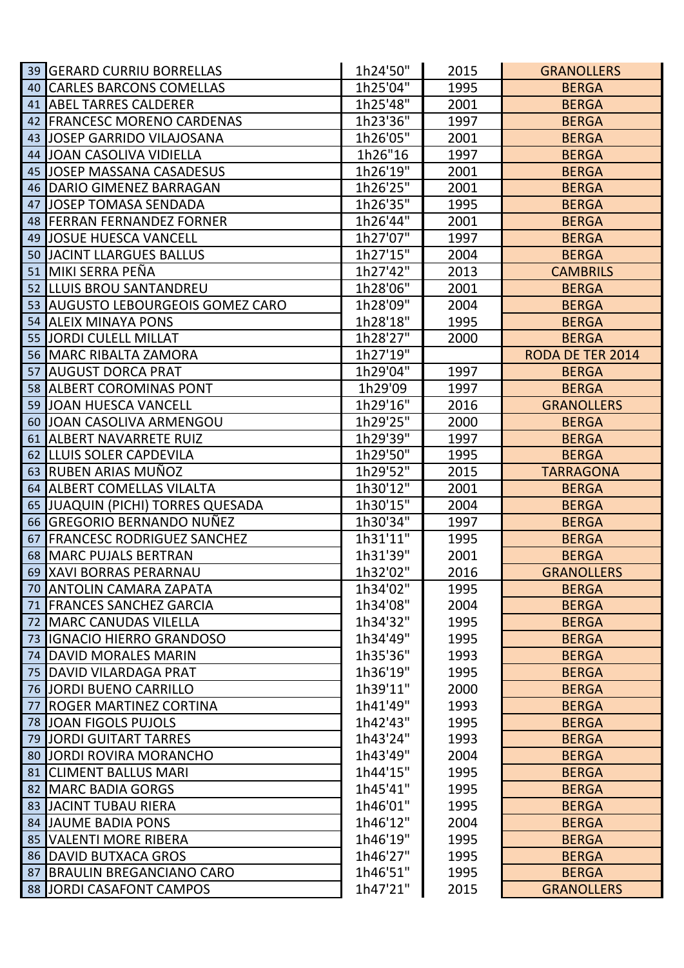| 39              | <b>GERARD CURRIU BORRELLAS</b>                                  | 1h24'50"             | 2015         | <b>GRANOLLERS</b>                 |
|-----------------|-----------------------------------------------------------------|----------------------|--------------|-----------------------------------|
| 40              | <b>CARLES BARCONS COMELLAS</b>                                  | 1h25'04"             | 1995         | <b>BERGA</b>                      |
| 41 <sup>1</sup> | <b>ABEL TARRES CALDERER</b>                                     | 1h25'48"             | 2001         | <b>BERGA</b>                      |
| 42              | <b>FRANCESC MORENO CARDENAS</b>                                 | 1h23'36"             | 1997         | <b>BERGA</b>                      |
| 43              | <b>JOSEP GARRIDO VILAJOSANA</b>                                 | 1h26'05"             | 2001         | <b>BERGA</b>                      |
| 44              | <b>JOAN CASOLIVA VIDIELLA</b>                                   | 1h26"16              | 1997         | <b>BERGA</b>                      |
| 45              | <b>JOSEP MASSANA CASADESUS</b>                                  | 1h26'19"             | 2001         | <b>BERGA</b>                      |
| 46              | DARIO GIMENEZ BARRAGAN                                          | 1h26'25"             | 2001         | <b>BERGA</b>                      |
| 47              | <b>JOSEP TOMASA SENDADA</b>                                     | 1h26'35"             | 1995         | <b>BERGA</b>                      |
| 48              | <b>FERRAN FERNANDEZ FORNER</b>                                  | 1h26'44"             | 2001         | <b>BERGA</b>                      |
| 49              | <b>JOSUE HUESCA VANCELL</b>                                     | 1h27'07"             | 1997         | <b>BERGA</b>                      |
| 50              | <b>JACINT LLARGUES BALLUS</b>                                   | 1h27'15"             | 2004         | <b>BERGA</b>                      |
| 51              | MIKI SERRA PEÑA                                                 | 1h27'42"             | 2013         | <b>CAMBRILS</b>                   |
| 52 <sub>2</sub> | LLUIS BROU SANTANDREU                                           | 1h28'06"             | 2001         | <b>BERGA</b>                      |
| 53              | <b>AUGUSTO LEBOURGEOIS GOMEZ CARO</b>                           | 1h28'09"             | 2004         | <b>BERGA</b>                      |
| 54              | <b>ALEIX MINAYA PONS</b>                                        | 1h28'18"             | 1995         | <b>BERGA</b>                      |
| 55              | <b>JORDI CULELL MILLAT</b>                                      | 1h28'27"             | 2000         | <b>BERGA</b>                      |
| 56              | <b>MARC RIBALTA ZAMORA</b>                                      | 1h27'19"             |              | RODA DE TER 2014                  |
| 57              | <b>AUGUST DORCA PRAT</b>                                        | 1h29'04"             | 1997         | <b>BERGA</b>                      |
|                 | 58 ALBERT COROMINAS PONT                                        | 1h29'09              | 1997         | <b>BERGA</b>                      |
| 59              | <b>JOAN HUESCA VANCELL</b>                                      | 1h29'16"             | 2016         | <b>GRANOLLERS</b>                 |
| 60              | JOAN CASOLIVA ARMENGOU                                          | 1h29'25"             | 2000         | <b>BERGA</b>                      |
| 61              | <b>ALBERT NAVARRETE RUIZ</b>                                    | 1h29'39"             | 1997         | <b>BERGA</b>                      |
| 62              | LLUIS SOLER CAPDEVILA                                           | 1h29'50"             | 1995         | <b>BERGA</b>                      |
|                 | 63 RUBEN ARIAS MUÑOZ                                            | 1h29'52"             | 2015         | <b>TARRAGONA</b>                  |
|                 |                                                                 |                      |              |                                   |
| 64              | ALBERT COMELLAS VILALTA                                         | 1h30'12"             | 2001         | <b>BERGA</b>                      |
| 65              | <b>JUAQUIN (PICHI) TORRES QUESADA</b>                           | 1h30'15"             | 2004         | <b>BERGA</b>                      |
| 66              | <b>GREGORIO BERNANDO NUÑEZ</b>                                  | 1h30'34"             | 1997         | <b>BERGA</b>                      |
| 67              | <b>FRANCESC RODRIGUEZ SANCHEZ</b>                               | 1h31'11"             | 1995         | <b>BERGA</b>                      |
| 68              | <b>MARC PUJALS BERTRAN</b>                                      | 1h31'39"             | 2001         | <b>BERGA</b>                      |
| 69              | <b>XAVI BORRAS PERARNAU</b>                                     | 1h32'02"             | 2016         | <b>GRANOLLERS</b>                 |
|                 | 70 ANTOLIN CAMARA ZAPATA                                        | 1h34'02"             | 1995         | <b>BERGA</b>                      |
| 71              | <b>FRANCES SANCHEZ GARCIA</b>                                   | 1h34'08"             | 2004         | <b>BERGA</b>                      |
| 72              | <b>MARC CANUDAS VILELLA</b>                                     | 1h34'32"             | 1995         | <b>BERGA</b>                      |
| 73              | <b>IGNACIO HIERRO GRANDOSO</b>                                  | 1h34'49"             | 1995         | <b>BERGA</b>                      |
| 74              | <b>DAVID MORALES MARIN</b>                                      | 1h35'36"             | 1993         | <b>BERGA</b>                      |
| 75              | DAVID VILARDAGA PRAT                                            | 1h36'19"             | 1995         | <b>BERGA</b>                      |
| 76              | <b>JORDI BUENO CARRILLO</b>                                     | 1h39'11"             | 2000         | <b>BERGA</b>                      |
| 77              | <b>ROGER MARTINEZ CORTINA</b>                                   | 1h41'49"             | 1993         | <b>BERGA</b>                      |
| 78              | <b>JOAN FIGOLS PUJOLS</b>                                       | 1h42'43"             | 1995         | <b>BERGA</b>                      |
| 79              | JORDI GUITART TARRES                                            | 1h43'24"             | 1993         | <b>BERGA</b>                      |
| 80              | <b>JORDI ROVIRA MORANCHO</b>                                    | 1h43'49"             | 2004         | <b>BERGA</b>                      |
| 81              | <b>CLIMENT BALLUS MARI</b>                                      | 1h44'15"             | 1995         | <b>BERGA</b>                      |
| 82              | <b>MARC BADIA GORGS</b>                                         | 1h45'41"             | 1995         | <b>BERGA</b>                      |
| 83              | <b>JACINT TUBAU RIERA</b>                                       | 1h46'01"             | 1995         | <b>BERGA</b>                      |
| 84              | <b>JAUME BADIA PONS</b>                                         | 1h46'12"             | 2004         | <b>BERGA</b>                      |
| 85              | <b>VALENTI MORE RIBERA</b>                                      | 1h46'19"             | 1995         | <b>BERGA</b>                      |
| 86              | <b>DAVID BUTXACA GROS</b>                                       | 1h46'27"             | 1995         | <b>BERGA</b>                      |
| 87<br>88        | <b>BRAULIN BREGANCIANO CARO</b><br><b>JORDI CASAFONT CAMPOS</b> | 1h46'51"<br>1h47'21" | 1995<br>2015 | <b>BERGA</b><br><b>GRANOLLERS</b> |